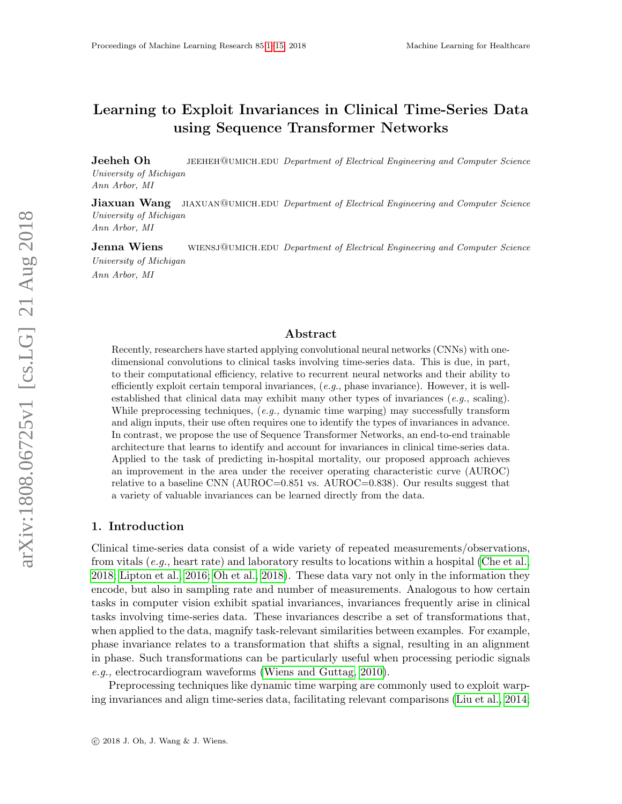# <span id="page-0-0"></span>Learning to Exploit Invariances in Clinical Time-Series Data using Sequence Transformer Networks

**Jeeheh Oh** JEEHEH@UMICH.EDU Department of Electrical Engineering and Computer Science University of Michigan Ann Arbor, MI

**Jiaxuan Wang** JIAXUAN@UMICH.EDU Department of Electrical Engineering and Computer Science University of Michigan Ann Arbor, MI

**Jenna Wiens** WIENSJ@UMICH.EDU Department of Electrical Engineering and Computer Science University of Michigan Ann Arbor, MI

# Abstract

Recently, researchers have started applying convolutional neural networks (CNNs) with onedimensional convolutions to clinical tasks involving time-series data. This is due, in part, to their computational efficiency, relative to recurrent neural networks and their ability to efficiently exploit certain temporal invariances,  $(e.g., phase invariance)$ . However, it is wellestablished that clinical data may exhibit many other types of invariances  $(e.g., \, scaling).$ While preprocessing techniques,  $(e.g.,$  dynamic time warping) may successfully transform and align inputs, their use often requires one to identify the types of invariances in advance. In contrast, we propose the use of Sequence Transformer Networks, an end-to-end trainable architecture that learns to identify and account for invariances in clinical time-series data. Applied to the task of predicting in-hospital mortality, our proposed approach achieves an improvement in the area under the receiver operating characteristic curve (AUROC) relative to a baseline CNN (AUROC=0.851 vs. AUROC=0.838). Our results suggest that a variety of valuable invariances can be learned directly from the data.

### 1. Introduction

Clinical time-series data consist of a wide variety of repeated measurements/observations, from vitals (e.g., heart rate) and laboratory results to locations within a hospital [\(Che et al.,](#page-12-0) [2018;](#page-12-0) [Lipton et al., 2016;](#page-13-0) [Oh et al., 2018\)](#page-13-1). These data vary not only in the information they encode, but also in sampling rate and number of measurements. Analogous to how certain tasks in computer vision exhibit spatial invariances, invariances frequently arise in clinical tasks involving time-series data. These invariances describe a set of transformations that, when applied to the data, magnify task-relevant similarities between examples. For example, phase invariance relates to a transformation that shifts a signal, resulting in an alignment in phase. Such transformations can be particularly useful when processing periodic signals e.g., electrocardiogram waveforms [\(Wiens and Guttag, 2010\)](#page-14-1).

Preprocessing techniques like dynamic time warping are commonly used to exploit warping invariances and align time-series data, facilitating relevant comparisons [\(Liu et al., 2014;](#page-13-2)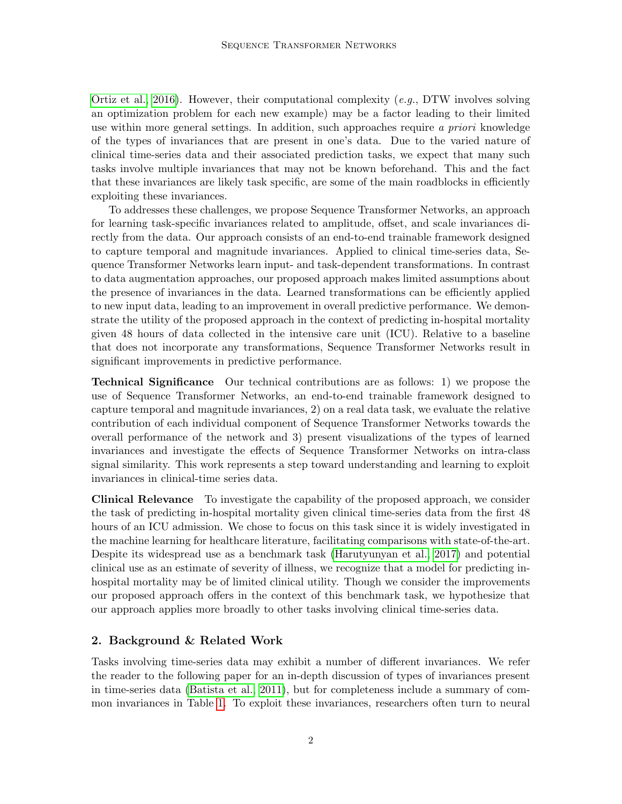[Ortiz et al., 2016\)](#page-13-3). However, their computational complexity (e.g., DTW involves solving an optimization problem for each new example) may be a factor leading to their limited use within more general settings. In addition, such approaches require a priori knowledge of the types of invariances that are present in one's data. Due to the varied nature of clinical time-series data and their associated prediction tasks, we expect that many such tasks involve multiple invariances that may not be known beforehand. This and the fact that these invariances are likely task specific, are some of the main roadblocks in efficiently exploiting these invariances.

To addresses these challenges, we propose Sequence Transformer Networks, an approach for learning task-specific invariances related to amplitude, offset, and scale invariances directly from the data. Our approach consists of an end-to-end trainable framework designed to capture temporal and magnitude invariances. Applied to clinical time-series data, Sequence Transformer Networks learn input- and task-dependent transformations. In contrast to data augmentation approaches, our proposed approach makes limited assumptions about the presence of invariances in the data. Learned transformations can be efficiently applied to new input data, leading to an improvement in overall predictive performance. We demonstrate the utility of the proposed approach in the context of predicting in-hospital mortality given 48 hours of data collected in the intensive care unit (ICU). Relative to a baseline that does not incorporate any transformations, Sequence Transformer Networks result in significant improvements in predictive performance.

Technical Significance Our technical contributions are as follows: 1) we propose the use of Sequence Transformer Networks, an end-to-end trainable framework designed to capture temporal and magnitude invariances, 2) on a real data task, we evaluate the relative contribution of each individual component of Sequence Transformer Networks towards the overall performance of the network and 3) present visualizations of the types of learned invariances and investigate the effects of Sequence Transformer Networks on intra-class signal similarity. This work represents a step toward understanding and learning to exploit invariances in clinical-time series data.

Clinical Relevance To investigate the capability of the proposed approach, we consider the task of predicting in-hospital mortality given clinical time-series data from the first 48 hours of an ICU admission. We chose to focus on this task since it is widely investigated in the machine learning for healthcare literature, facilitating comparisons with state-of-the-art. Despite its widespread use as a benchmark task [\(Harutyunyan et al., 2017\)](#page-13-4) and potential clinical use as an estimate of severity of illness, we recognize that a model for predicting inhospital mortality may be of limited clinical utility. Though we consider the improvements our proposed approach offers in the context of this benchmark task, we hypothesize that our approach applies more broadly to other tasks involving clinical time-series data.

## 2. Background & Related Work

Tasks involving time-series data may exhibit a number of different invariances. We refer the reader to the following paper for an in-depth discussion of types of invariances present in time-series data [\(Batista et al., 2011\)](#page-12-1), but for completeness include a summary of common invariances in Table [1.](#page-3-0) To exploit these invariances, researchers often turn to neural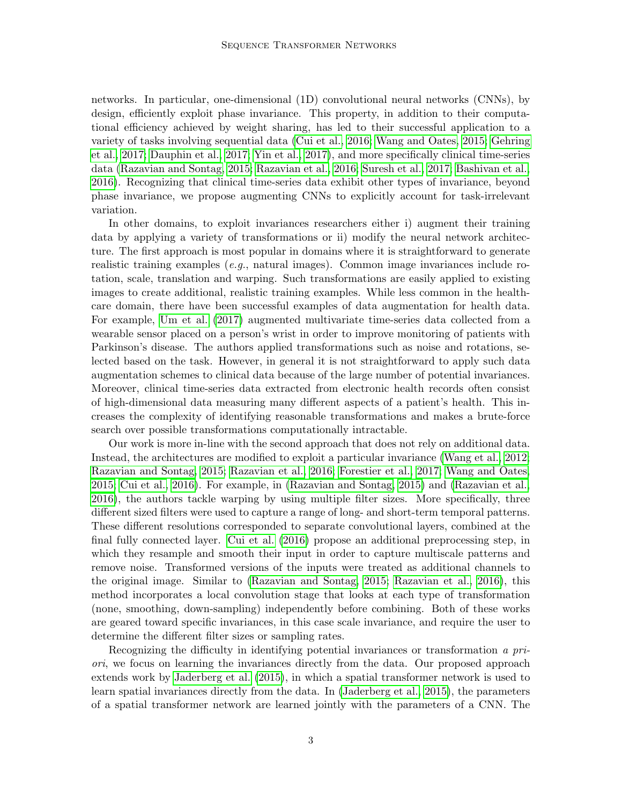networks. In particular, one-dimensional (1D) convolutional neural networks (CNNs), by design, efficiently exploit phase invariance. This property, in addition to their computational efficiency achieved by weight sharing, has led to their successful application to a variety of tasks involving sequential data [\(Cui et al., 2016;](#page-13-5) [Wang and Oates, 2015;](#page-14-2) [Gehring](#page-13-6) [et al., 2017;](#page-13-6) [Dauphin et al., 2017;](#page-13-7) [Yin et al., 2017\)](#page-14-3), and more specifically clinical time-series data [\(Razavian and Sontag, 2015;](#page-14-4) [Razavian et al., 2016;](#page-14-5) [Suresh et al., 2017;](#page-14-6) [Bashivan et al.,](#page-12-2) [2016\)](#page-12-2). Recognizing that clinical time-series data exhibit other types of invariance, beyond phase invariance, we propose augmenting CNNs to explicitly account for task-irrelevant variation.

In other domains, to exploit invariances researchers either i) augment their training data by applying a variety of transformations or ii) modify the neural network architecture. The first approach is most popular in domains where it is straightforward to generate realistic training examples (*e.g.*, natural images). Common image invariances include rotation, scale, translation and warping. Such transformations are easily applied to existing images to create additional, realistic training examples. While less common in the healthcare domain, there have been successful examples of data augmentation for health data. For example, [Um et al.](#page-14-7) [\(2017\)](#page-14-7) augmented multivariate time-series data collected from a wearable sensor placed on a person's wrist in order to improve monitoring of patients with Parkinson's disease. The authors applied transformations such as noise and rotations, selected based on the task. However, in general it is not straightforward to apply such data augmentation schemes to clinical data because of the large number of potential invariances. Moreover, clinical time-series data extracted from electronic health records often consist of high-dimensional data measuring many different aspects of a patient's health. This increases the complexity of identifying reasonable transformations and makes a brute-force search over possible transformations computationally intractable.

Our work is more in-line with the second approach that does not rely on additional data. Instead, the architectures are modified to exploit a particular invariance [\(Wang et al., 2012;](#page-14-8) [Razavian and Sontag, 2015;](#page-14-4) [Razavian et al., 2016;](#page-14-5) [Forestier et al., 2017;](#page-13-8) [Wang and Oates,](#page-14-2) [2015;](#page-14-2) [Cui et al., 2016\)](#page-13-5). For example, in [\(Razavian and Sontag, 2015\)](#page-14-4) and [\(Razavian et al.,](#page-14-5) [2016\)](#page-14-5), the authors tackle warping by using multiple filter sizes. More specifically, three different sized filters were used to capture a range of long- and short-term temporal patterns. These different resolutions corresponded to separate convolutional layers, combined at the final fully connected layer. [Cui et al.](#page-13-5) [\(2016\)](#page-13-5) propose an additional preprocessing step, in which they resample and smooth their input in order to capture multiscale patterns and remove noise. Transformed versions of the inputs were treated as additional channels to the original image. Similar to [\(Razavian and Sontag, 2015;](#page-14-4) [Razavian et al., 2016\)](#page-14-5), this method incorporates a local convolution stage that looks at each type of transformation (none, smoothing, down-sampling) independently before combining. Both of these works are geared toward specific invariances, in this case scale invariance, and require the user to determine the different filter sizes or sampling rates.

Recognizing the difficulty in identifying potential invariances or transformation a priori, we focus on learning the invariances directly from the data. Our proposed approach extends work by [Jaderberg et al.](#page-13-9) [\(2015\)](#page-13-9), in which a spatial transformer network is used to learn spatial invariances directly from the data. In [\(Jaderberg et al., 2015\)](#page-13-9), the parameters of a spatial transformer network are learned jointly with the parameters of a CNN. The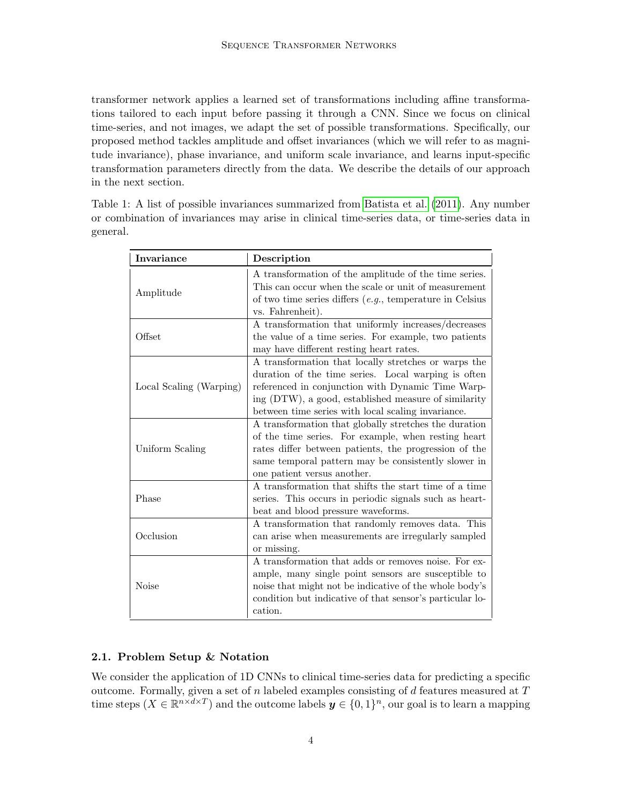transformer network applies a learned set of transformations including affine transformations tailored to each input before passing it through a CNN. Since we focus on clinical time-series, and not images, we adapt the set of possible transformations. Specifically, our proposed method tackles amplitude and offset invariances (which we will refer to as magnitude invariance), phase invariance, and uniform scale invariance, and learns input-specific transformation parameters directly from the data. We describe the details of our approach in the next section.

<span id="page-3-0"></span>Table 1: A list of possible invariances summarized from [Batista et al.](#page-12-1) [\(2011\)](#page-12-1). Any number or combination of invariances may arise in clinical time-series data, or time-series data in general.

| Invariance              | Description                                                                                                   |  |  |  |  |  |  |
|-------------------------|---------------------------------------------------------------------------------------------------------------|--|--|--|--|--|--|
|                         | A transformation of the amplitude of the time series.<br>This can occur when the scale or unit of measurement |  |  |  |  |  |  |
| Amplitude               | of two time series differs $(e.g.,$ temperature in Celsius                                                    |  |  |  |  |  |  |
|                         | vs. Fahrenheit).                                                                                              |  |  |  |  |  |  |
|                         | A transformation that uniformly increases/decreases                                                           |  |  |  |  |  |  |
| Offset                  | the value of a time series. For example, two patients                                                         |  |  |  |  |  |  |
|                         | may have different resting heart rates.                                                                       |  |  |  |  |  |  |
|                         | A transformation that locally stretches or warps the                                                          |  |  |  |  |  |  |
|                         | duration of the time series. Local warping is often                                                           |  |  |  |  |  |  |
| Local Scaling (Warping) | referenced in conjunction with Dynamic Time Warp-                                                             |  |  |  |  |  |  |
|                         | ing (DTW), a good, established measure of similarity                                                          |  |  |  |  |  |  |
|                         | between time series with local scaling invariance.                                                            |  |  |  |  |  |  |
|                         | A transformation that globally stretches the duration                                                         |  |  |  |  |  |  |
|                         | of the time series. For example, when resting heart                                                           |  |  |  |  |  |  |
| Uniform Scaling         | rates differ between patients, the progression of the                                                         |  |  |  |  |  |  |
|                         | same temporal pattern may be consistently slower in                                                           |  |  |  |  |  |  |
|                         | one patient versus another.                                                                                   |  |  |  |  |  |  |
|                         | A transformation that shifts the start time of a time                                                         |  |  |  |  |  |  |
| Phase                   | series. This occurs in periodic signals such as heart-                                                        |  |  |  |  |  |  |
|                         | beat and blood pressure waveforms.                                                                            |  |  |  |  |  |  |
|                         | A transformation that randomly removes data. This                                                             |  |  |  |  |  |  |
| Occlusion               | can arise when measurements are irregularly sampled                                                           |  |  |  |  |  |  |
|                         | or missing.                                                                                                   |  |  |  |  |  |  |
|                         | A transformation that adds or removes noise. For ex-                                                          |  |  |  |  |  |  |
|                         | ample, many single point sensors are susceptible to                                                           |  |  |  |  |  |  |
| <b>Noise</b>            | noise that might not be indicative of the whole body's                                                        |  |  |  |  |  |  |
|                         | condition but indicative of that sensor's particular lo-                                                      |  |  |  |  |  |  |
|                         | cation.                                                                                                       |  |  |  |  |  |  |

# 2.1. Problem Setup & Notation

We consider the application of 1D CNNs to clinical time-series data for predicting a specific outcome. Formally, given a set of  $n$  labeled examples consisting of  $d$  features measured at  $T$ time steps  $(X \in \mathbb{R}^{n \times d \times T})$  and the outcome labels  $y \in \{0,1\}^n$ , our goal is to learn a mapping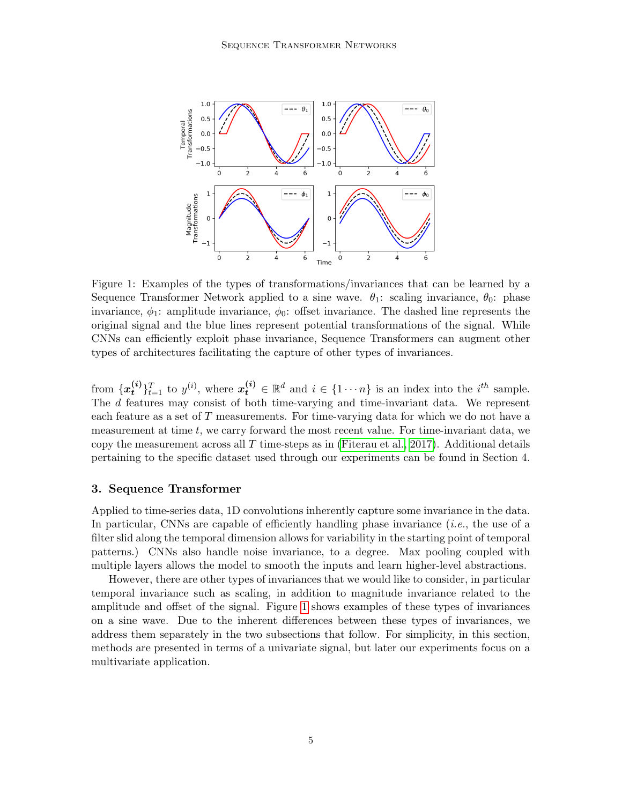<span id="page-4-0"></span>

Figure 1: Examples of the types of transformations/invariances that can be learned by a Sequence Transformer Network applied to a sine wave.  $\theta_1$ : scaling invariance,  $\theta_0$ : phase invariance,  $\phi_1$ : amplitude invariance,  $\phi_0$ : offset invariance. The dashed line represents the original signal and the blue lines represent potential transformations of the signal. While CNNs can efficiently exploit phase invariance, Sequence Transformers can augment other types of architectures facilitating the capture of other types of invariances.

from  $\{x_t^{(i)}\}$  $\{e^{i}\}_{t=1}^T$  to  $y^{(i)}$ , where  $\mathbf{x}_t^{(i)} \in \mathbb{R}^d$  and  $i \in \{1 \cdots n\}$  is an index into the  $i^{th}$  sample. The d features may consist of both time-varying and time-invariant data. We represent each feature as a set of T measurements. For time-varying data for which we do not have a measurement at time  $t$ , we carry forward the most recent value. For time-invariant data, we copy the measurement across all  $T$  time-steps as in [\(Fiterau et al., 2017\)](#page-13-10). Additional details pertaining to the specific dataset used through our experiments can be found in Section 4.

## 3. Sequence Transformer

Applied to time-series data, 1D convolutions inherently capture some invariance in the data. In particular, CNNs are capable of efficiently handling phase invariance  $(i.e.,$  the use of a filter slid along the temporal dimension allows for variability in the starting point of temporal patterns.) CNNs also handle noise invariance, to a degree. Max pooling coupled with multiple layers allows the model to smooth the inputs and learn higher-level abstractions.

However, there are other types of invariances that we would like to consider, in particular temporal invariance such as scaling, in addition to magnitude invariance related to the amplitude and offset of the signal. Figure [1](#page-4-0) shows examples of these types of invariances on a sine wave. Due to the inherent differences between these types of invariances, we address them separately in the two subsections that follow. For simplicity, in this section, methods are presented in terms of a univariate signal, but later our experiments focus on a multivariate application.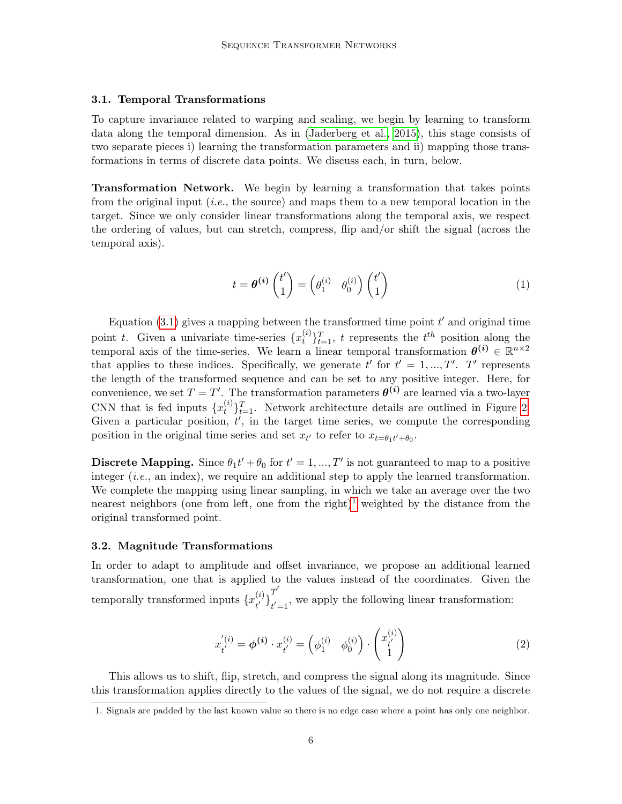## 3.1. Temporal Transformations

To capture invariance related to warping and scaling, we begin by learning to transform data along the temporal dimension. As in [\(Jaderberg et al., 2015\)](#page-13-9), this stage consists of two separate pieces i) learning the transformation parameters and ii) mapping those transformations in terms of discrete data points. We discuss each, in turn, below.

Transformation Network. We begin by learning a transformation that takes points from the original input (*i.e.*, the source) and maps them to a new temporal location in the target. Since we only consider linear transformations along the temporal axis, we respect the ordering of values, but can stretch, compress, flip and/or shift the signal (across the temporal axis).

<span id="page-5-0"></span>
$$
t = \theta^{(i)} \begin{pmatrix} t' \\ 1 \end{pmatrix} = \begin{pmatrix} \theta_1^{(i)} & \theta_0^{(i)} \end{pmatrix} \begin{pmatrix} t' \\ 1 \end{pmatrix} \tag{1}
$$

Equation  $(3.1)$  gives a mapping between the transformed time point  $t'$  and original time point t. Given a univariate time-series  $\{x_t^{(i)}\}$  $\{t_i^{(i)}\}_{t=1}^T$ , t represents the  $t^{th}$  position along the temporal axis of the time-series. We learn a linear temporal transformation  $\theta^{(i)} \in \mathbb{R}^{n \times 2}$ that applies to these indices. Specifically, we generate t' for  $t' = 1, ..., T'$ . T' represents the length of the transformed sequence and can be set to any positive integer. Here, for convenience, we set  $T = T'$ . The transformation parameters  $\boldsymbol{\theta^{(i)}}$  are learned via a two-layer CNN that is fed inputs  $\{x_t^{(i)}\}$  $\{t_i^{(i)}\}_{t=1}^T$ . Network architecture details are outlined in Figure [2.](#page-6-0) Given a particular position,  $t'$ , in the target time series, we compute the corresponding position in the original time series and set  $x_{t'}$  to refer to  $x_{t} = \theta_1 t' + \theta_0$ .

**Discrete Mapping.** Since  $\theta_1 t' + \theta_0$  for  $t' = 1, ..., T'$  is not guaranteed to map to a positive integer  $(i.e., \text{an index})$ , we require an additional step to apply the learned transformation. We complete the mapping using linear sampling, in which we take an average over the two nearest neighbors (one from left, one from the right)<sup>[1](#page-5-1)</sup> weighted by the distance from the original transformed point.

#### 3.2. Magnitude Transformations

In order to adapt to amplitude and offset invariance, we propose an additional learned transformation, one that is applied to the values instead of the coordinates. Given the temporally transformed inputs  $\{x_{i'}^{(i)}\}$  $\left\{ \begin{matrix} t \ t' \end{matrix} \right\}_{t^{'}=0}^{T^{'}$  $t' = 1$ , we apply the following linear transformation:

$$
x_{t'}^{'(i)} = \phi^{(i)} \cdot x_{t'}^{(i)} = \begin{pmatrix} \phi_1^{(i)} & \phi_0^{(i)} \end{pmatrix} \cdot \begin{pmatrix} x_{t'}^{(i)} \\ 1 \end{pmatrix} \tag{2}
$$

This allows us to shift, flip, stretch, and compress the signal along its magnitude. Since this transformation applies directly to the values of the signal, we do not require a discrete

<span id="page-5-1"></span><sup>1.</sup> Signals are padded by the last known value so there is no edge case where a point has only one neighbor.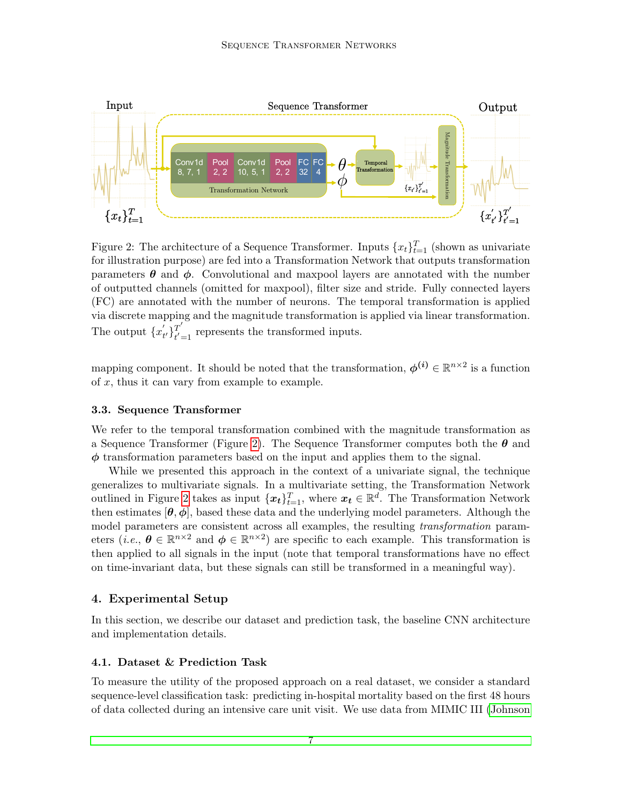<span id="page-6-0"></span>

Figure 2: The architecture of a Sequence Transformer. Inputs  $\{x_t\}_{t=1}^T$  (shown as univariate for illustration purpose) are fed into a Transformation Network that outputs transformation parameters  $\theta$  and  $\phi$ . Convolutional and maxpool layers are annotated with the number of outputted channels (omitted for maxpool), filter size and stride. Fully connected layers (FC) are annotated with the number of neurons. The temporal transformation is applied via discrete mapping and the magnitude transformation is applied via linear transformation. The output  $\{x'_{t}\}$  $\left\{ \begin{matrix} t' \ t' \end{matrix} \right\}_{t'=1}^{T'}$  $t'_{t=1}$  represents the transformed inputs.

mapping component. It should be noted that the transformation,  $\phi^{(i)} \in \mathbb{R}^{n \times 2}$  is a function of  $x$ , thus it can vary from example to example.

### 3.3. Sequence Transformer

We refer to the temporal transformation combined with the magnitude transformation as a Sequence Transformer (Figure [2\)](#page-6-0). The Sequence Transformer computes both the  $\theta$  and  $\phi$  transformation parameters based on the input and applies them to the signal.

While we presented this approach in the context of a univariate signal, the technique generalizes to multivariate signals. In a multivariate setting, the Transformation Network outlined in Figure [2](#page-6-0) takes as input  $\{\boldsymbol{x_t}\}_{t=1}^T$ , where  $\boldsymbol{x_t} \in \mathbb{R}^d$ . The Transformation Network then estimates  $[\theta, \phi]$ , based these data and the underlying model parameters. Although the model parameters are consistent across all examples, the resulting *transformation* parameters (*i.e.*,  $\theta \in \mathbb{R}^{n \times 2}$  and  $\phi \in \mathbb{R}^{n \times 2}$ ) are specific to each example. This transformation is then applied to all signals in the input (note that temporal transformations have no effect on time-invariant data, but these signals can still be transformed in a meaningful way).

# 4. Experimental Setup

In this section, we describe our dataset and prediction task, the baseline CNN architecture and implementation details.

#### 4.1. Dataset & Prediction Task

To measure the utility of the proposed approach on a real dataset, we consider a standard sequence-level classification task: predicting in-hospital mortality based on the first 48 hours of data collected during an intensive care unit visit. We use data from MIMIC III [\(Johnson](#page-13-11)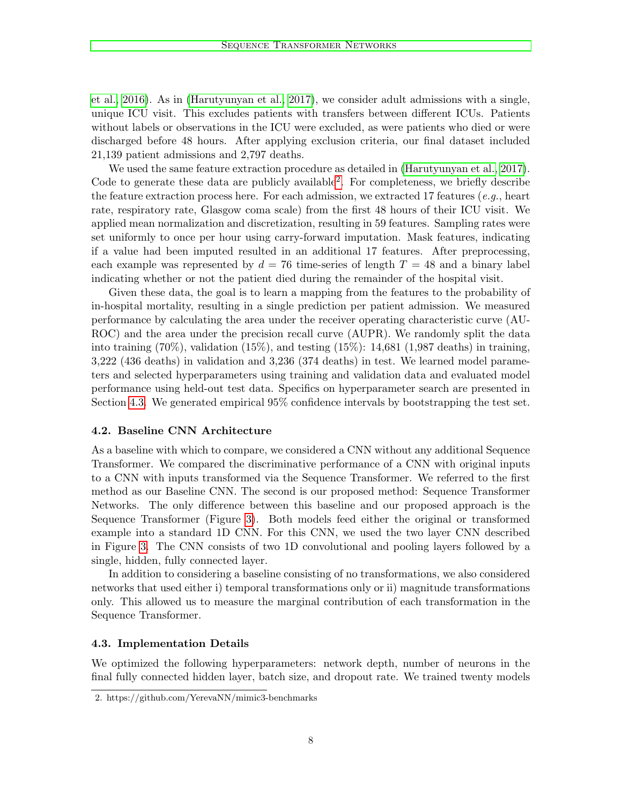[et al., 2016\)](#page-13-11). As in [\(Harutyunyan et al., 2017\)](#page-13-4), we consider adult admissions with a single, unique ICU visit. This excludes patients with transfers between different ICUs. Patients without labels or observations in the ICU were excluded, as were patients who died or were discharged before 48 hours. After applying exclusion criteria, our final dataset included 21,139 patient admissions and 2,797 deaths.

We used the same feature extraction procedure as detailed in [\(Harutyunyan et al., 2017\)](#page-13-4). Code to generate these data are publicly available[2](#page-7-0) . For completeness, we briefly describe the feature extraction process here. For each admission, we extracted 17 features (e.g., heart rate, respiratory rate, Glasgow coma scale) from the first 48 hours of their ICU visit. We applied mean normalization and discretization, resulting in 59 features. Sampling rates were set uniformly to once per hour using carry-forward imputation. Mask features, indicating if a value had been imputed resulted in an additional 17 features. After preprocessing, each example was represented by  $d = 76$  time-series of length  $T = 48$  and a binary label indicating whether or not the patient died during the remainder of the hospital visit.

Given these data, the goal is to learn a mapping from the features to the probability of in-hospital mortality, resulting in a single prediction per patient admission. We measured performance by calculating the area under the receiver operating characteristic curve (AU-ROC) and the area under the precision recall curve (AUPR). We randomly split the data into training  $(70\%)$ , validation  $(15\%)$ , and testing  $(15\%)$ : 14,681  $(1,987$  deaths) in training, 3,222 (436 deaths) in validation and 3,236 (374 deaths) in test. We learned model parameters and selected hyperparameters using training and validation data and evaluated model performance using held-out test data. Specifics on hyperparameter search are presented in Section [4.3.](#page-7-1) We generated empirical 95% confidence intervals by bootstrapping the test set.

## <span id="page-7-2"></span>4.2. Baseline CNN Architecture

As a baseline with which to compare, we considered a CNN without any additional Sequence Transformer. We compared the discriminative performance of a CNN with original inputs to a CNN with inputs transformed via the Sequence Transformer. We referred to the first method as our Baseline CNN. The second is our proposed method: Sequence Transformer Networks. The only difference between this baseline and our proposed approach is the Sequence Transformer (Figure [3\)](#page-8-0). Both models feed either the original or transformed example into a standard 1D CNN. For this CNN, we used the two layer CNN described in Figure [3.](#page-8-0) The CNN consists of two 1D convolutional and pooling layers followed by a single, hidden, fully connected layer.

In addition to considering a baseline consisting of no transformations, we also considered networks that used either i) temporal transformations only or ii) magnitude transformations only. This allowed us to measure the marginal contribution of each transformation in the Sequence Transformer.

#### <span id="page-7-1"></span>4.3. Implementation Details

We optimized the following hyperparameters: network depth, number of neurons in the final fully connected hidden layer, batch size, and dropout rate. We trained twenty models

<span id="page-7-0"></span><sup>2.</sup> https://github.com/YerevaNN/mimic3-benchmarks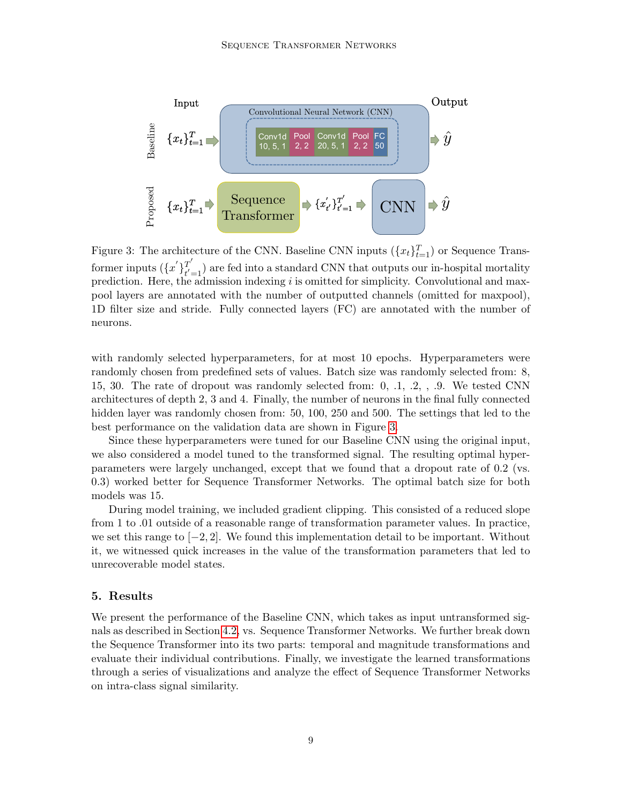<span id="page-8-0"></span>

Figure 3: The architecture of the CNN. Baseline CNN inputs  $(\lbrace x_t \rbrace_{t=1}^T)$  or Sequence Transformer inputs  $({x'}_{t'}^T)_{t'}^{T'}$  $t_{t=1}^{T}$  are fed into a standard CNN that outputs our in-hospital mortality prediction. Here, the admission indexing i is omitted for simplicity. Convolutional and maxpool layers are annotated with the number of outputted channels (omitted for maxpool), 1D filter size and stride. Fully connected layers (FC) are annotated with the number of neurons.

with randomly selected hyperparameters, for at most 10 epochs. Hyperparameters were randomly chosen from predefined sets of values. Batch size was randomly selected from: 8, 15, 30. The rate of dropout was randomly selected from: 0, .1, .2, , .9. We tested CNN architectures of depth 2, 3 and 4. Finally, the number of neurons in the final fully connected hidden layer was randomly chosen from: 50, 100, 250 and 500. The settings that led to the best performance on the validation data are shown in Figure [3.](#page-8-0)

Since these hyperparameters were tuned for our Baseline CNN using the original input, we also considered a model tuned to the transformed signal. The resulting optimal hyperparameters were largely unchanged, except that we found that a dropout rate of 0.2 (vs. 0.3) worked better for Sequence Transformer Networks. The optimal batch size for both models was 15.

During model training, we included gradient clipping. This consisted of a reduced slope from 1 to .01 outside of a reasonable range of transformation parameter values. In practice, we set this range to  $[-2, 2]$ . We found this implementation detail to be important. Without it, we witnessed quick increases in the value of the transformation parameters that led to unrecoverable model states.

## 5. Results

We present the performance of the Baseline CNN, which takes as input untransformed signals as described in Section [4.2,](#page-7-2) vs. Sequence Transformer Networks. We further break down the Sequence Transformer into its two parts: temporal and magnitude transformations and evaluate their individual contributions. Finally, we investigate the learned transformations through a series of visualizations and analyze the effect of Sequence Transformer Networks on intra-class signal similarity.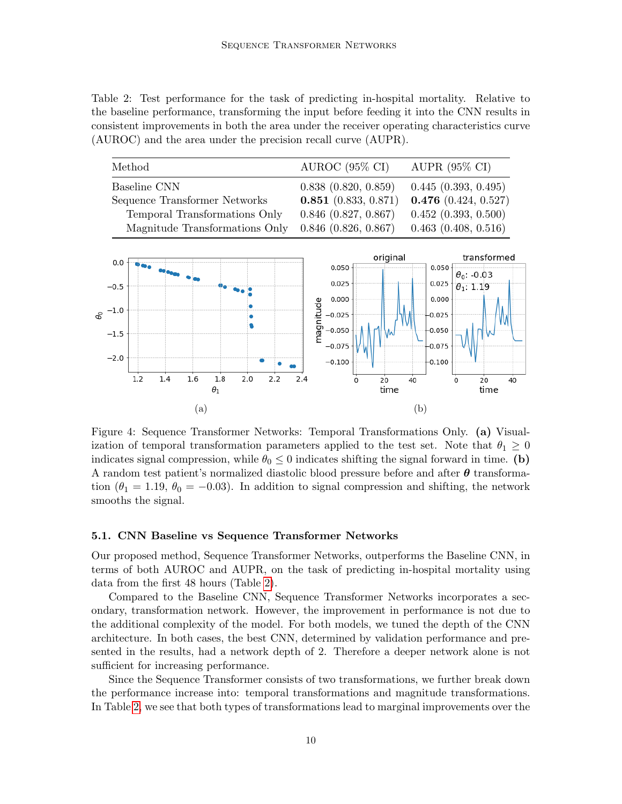<span id="page-9-0"></span>Table 2: Test performance for the task of predicting in-hospital mortality. Relative to the baseline performance, transforming the input before feeding it into the CNN results in consistent improvements in both the area under the receiver operating characteristics curve (AUROC) and the area under the precision recall curve (AUPR).

<span id="page-9-1"></span>

|   |              | Method                         |                               |                   |                               |     |     |                     |                          |          | AUROC $(95\% \text{ CI})$ |                     |                        |                          | AUPR $(95\% \text{ CI})$ |             |    |
|---|--------------|--------------------------------|-------------------------------|-------------------|-------------------------------|-----|-----|---------------------|--------------------------|----------|---------------------------|---------------------|------------------------|--------------------------|--------------------------|-------------|----|
|   | Baseline CNN |                                |                               |                   |                               |     |     | 0.838(0.820, 0.859) |                          |          |                           | 0.445(0.393, 0.495) |                        |                          |                          |             |    |
|   |              |                                | Sequence Transformer Networks |                   |                               |     |     |                     | $0.851$ (0.833, 0.871)   |          |                           |                     | $0.476$ (0.424, 0.527) |                          |                          |             |    |
|   |              |                                |                               |                   | Temporal Transformations Only |     |     |                     | $0.846$ $(0.827, 0.867)$ |          |                           |                     | 0.452(0.393, 0.500)    |                          |                          |             |    |
|   |              | Magnitude Transformations Only |                               |                   |                               |     |     |                     | $0.846$ $(0.826, 0.867)$ |          |                           |                     |                        | $0.463$ $(0.408, 0.516)$ |                          |             |    |
|   | 0.0          |                                |                               |                   |                               |     |     |                     |                          |          |                           | original            |                        |                          |                          | transformed |    |
|   |              |                                |                               |                   |                               |     |     |                     |                          | 0.050    |                           |                     |                        | $0.050 -$                | $\theta_0$ : -0.03       |             |    |
|   | $-0.5$       |                                |                               |                   |                               |     |     |                     |                          | 0.025    |                           |                     |                        | $0.025 -$                | $\theta_1$ : 1.19        |             |    |
|   |              |                                |                               |                   |                               |     |     |                     |                          | 0.000    |                           |                     |                        | 0.000                    |                          |             |    |
| ዴ | $-1.0$       |                                |                               |                   |                               |     |     |                     | $-0.025$                 |          |                           | $-0.025$            |                        |                          |                          |             |    |
|   | $-1.5$       |                                |                               |                   |                               |     |     |                     | magnitude                | $-0.050$ |                           |                     |                        | $-0.050$                 |                          |             |    |
|   |              |                                |                               |                   |                               |     |     |                     |                          | $-0.075$ |                           |                     |                        | $-0.075$                 |                          |             |    |
|   | $-2.0$       |                                |                               |                   |                               |     |     |                     |                          | $-0.100$ |                           |                     |                        | $-0.100$                 |                          |             |    |
|   |              | 1.2                            | 1.4                           | 1.6<br>$\theta_1$ | 1.8                           | 2.0 | 2.2 | 2.4                 |                          |          | $\Omega$                  | 20<br>time          | 40                     |                          | $\Omega$                 | 20<br>time  | 40 |
|   | $({\rm a})$  |                                |                               |                   |                               |     |     |                     |                          |          | (b)                       |                     |                        |                          |                          |             |    |

Figure 4: Sequence Transformer Networks: Temporal Transformations Only. (a) Visualization of temporal transformation parameters applied to the test set. Note that  $\theta_1 \geq 0$ indicates signal compression, while  $\theta_0 \leq 0$  indicates shifting the signal forward in time. (b) A random test patient's normalized diastolic blood pressure before and after  $\theta$  transformation ( $\theta_1 = 1.19$ ,  $\theta_0 = -0.03$ ). In addition to signal compression and shifting, the network smooths the signal.

#### 5.1. CNN Baseline vs Sequence Transformer Networks

Our proposed method, Sequence Transformer Networks, outperforms the Baseline CNN, in terms of both AUROC and AUPR, on the task of predicting in-hospital mortality using data from the first 48 hours (Table [2\)](#page-9-0).

Compared to the Baseline CNN, Sequence Transformer Networks incorporates a secondary, transformation network. However, the improvement in performance is not due to the additional complexity of the model. For both models, we tuned the depth of the CNN architecture. In both cases, the best CNN, determined by validation performance and presented in the results, had a network depth of 2. Therefore a deeper network alone is not sufficient for increasing performance.

Since the Sequence Transformer consists of two transformations, we further break down the performance increase into: temporal transformations and magnitude transformations. In Table [2,](#page-9-0) we see that both types of transformations lead to marginal improvements over the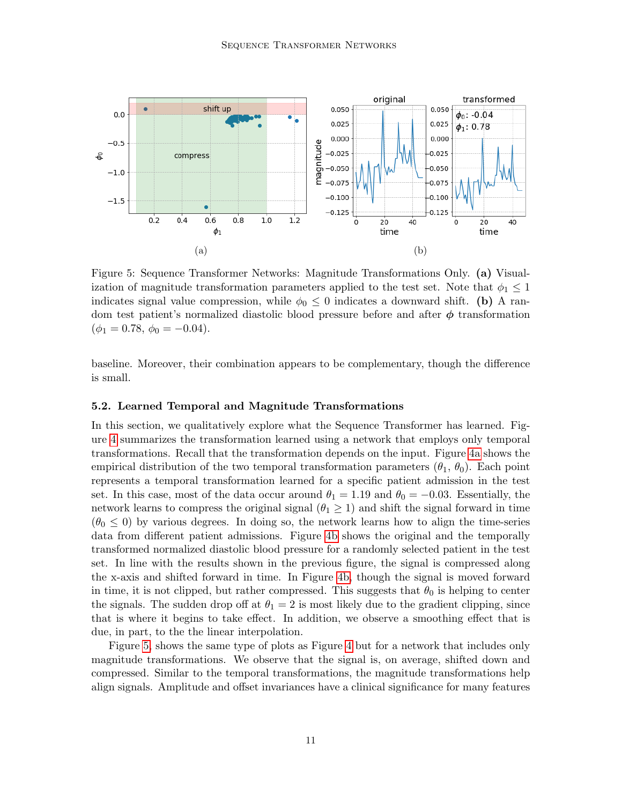<span id="page-10-0"></span>

Figure 5: Sequence Transformer Networks: Magnitude Transformations Only. (a) Visualization of magnitude transformation parameters applied to the test set. Note that  $\phi_1 \leq 1$ indicates signal value compression, while  $\phi_0 \leq 0$  indicates a downward shift. (b) A random test patient's normalized diastolic blood pressure before and after  $\phi$  transformation  $(\phi_1 = 0.78, \phi_0 = -0.04).$ 

baseline. Moreover, their combination appears to be complementary, though the difference is small.

#### 5.2. Learned Temporal and Magnitude Transformations

In this section, we qualitatively explore what the Sequence Transformer has learned. Figure [4](#page-9-1) summarizes the transformation learned using a network that employs only temporal transformations. Recall that the transformation depends on the input. Figure [4a](#page-9-1) shows the empirical distribution of the two temporal transformation parameters  $(\theta_1, \theta_0)$ . Each point represents a temporal transformation learned for a specific patient admission in the test set. In this case, most of the data occur around  $\theta_1 = 1.19$  and  $\theta_0 = -0.03$ . Essentially, the network learns to compress the original signal  $(\theta_1 \geq 1)$  and shift the signal forward in time  $(\theta_0 \leq 0)$  by various degrees. In doing so, the network learns how to align the time-series data from different patient admissions. Figure [4b](#page-9-1) shows the original and the temporally transformed normalized diastolic blood pressure for a randomly selected patient in the test set. In line with the results shown in the previous figure, the signal is compressed along the x-axis and shifted forward in time. In Figure [4b,](#page-9-1) though the signal is moved forward in time, it is not clipped, but rather compressed. This suggests that  $\theta_0$  is helping to center the signals. The sudden drop off at  $\theta_1 = 2$  is most likely due to the gradient clipping, since that is where it begins to take effect. In addition, we observe a smoothing effect that is due, in part, to the the linear interpolation.

Figure [5,](#page-10-0) shows the same type of plots as Figure [4](#page-9-1) but for a network that includes only magnitude transformations. We observe that the signal is, on average, shifted down and compressed. Similar to the temporal transformations, the magnitude transformations help align signals. Amplitude and offset invariances have a clinical significance for many features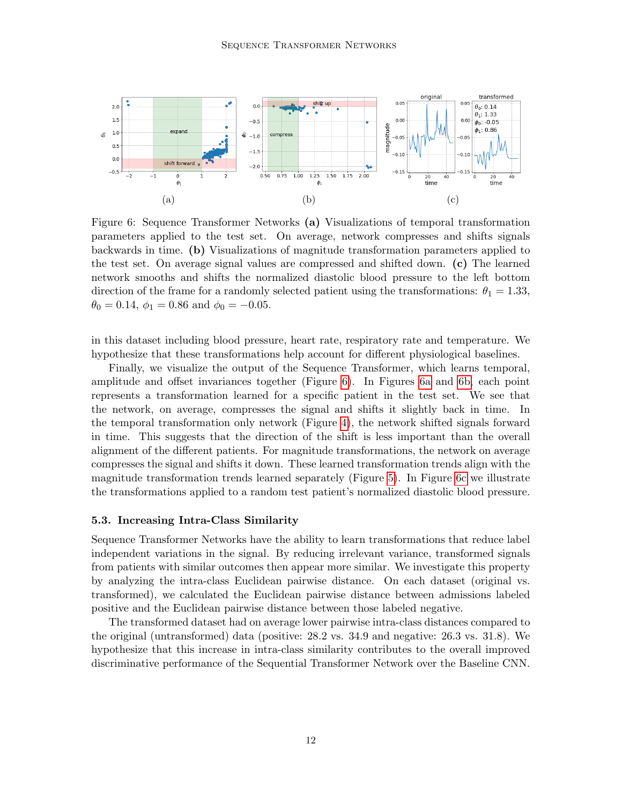<span id="page-11-0"></span>

Figure 6: Sequence Transformer Networks (a) Visualizations of temporal transformation parameters applied to the test set. On average, network compresses and shifts signals backwards in time. (b) Visualizations of magnitude transformation parameters applied to the test set. On average signal values are compressed and shifted down. (c) The learned network smooths and shifts the normalized diastolic blood pressure to the left bottom direction of the frame for a randomly selected patient using the transformations:  $\theta_1 = 1.33$ ,  $\theta_0 = 0.14$ ,  $\phi_1 = 0.86$  and  $\phi_0 = -0.05$ .

in this dataset including blood pressure, heart rate, respiratory rate and temperature. We hypothesize that these transformations help account for different physiological baselines.

Finally, we visualize the output of the Sequence Transformer, which learns temporal, amplitude and offset invariances together (Figure [6\)](#page-11-0). In Figures [6a](#page-11-0) and [6b,](#page-11-0) each point represents a transformation learned for a specific patient in the test set. We see that the network, on average, compresses the signal and shifts it slightly back in time. In the temporal transformation only network (Figure [4\)](#page-9-1), the network shifted signals forward in time. This suggests that the direction of the shift is less important than the overall alignment of the different patients. For magnitude transformations, the network on average compresses the signal and shifts it down. These learned transformation trends align with the magnitude transformation trends learned separately (Figure [5\)](#page-10-0). In Figure [6c](#page-11-0) we illustrate the transformations applied to a random test patient's normalized diastolic blood pressure.

## 5.3. Increasing Intra-Class Similarity

Sequence Transformer Networks have the ability to learn transformations that reduce label independent variations in the signal. By reducing irrelevant variance, transformed signals from patients with similar outcomes then appear more similar. We investigate this property by analyzing the intra-class Euclidean pairwise distance. On each dataset (original vs. transformed), we calculated the Euclidean pairwise distance between admissions labeled positive and the Euclidean pairwise distance between those labeled negative.

The transformed dataset had on average lower pairwise intra-class distances compared to the original (untransformed) data (positive: 28.2 vs. 34.9 and negative: 26.3 vs. 31.8). We hypothesize that this increase in intra-class similarity contributes to the overall improved discriminative performance of the Sequential Transformer Network over the Baseline CNN.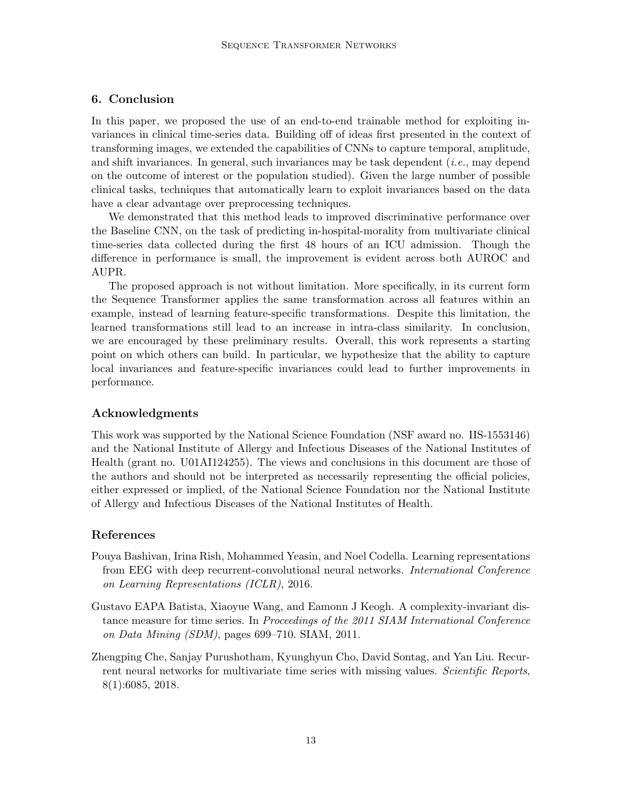# 6. Conclusion

In this paper, we proposed the use of an end-to-end trainable method for exploiting invariances in clinical time-series data. Building off of ideas first presented in the context of transforming images, we extended the capabilities of CNNs to capture temporal, amplitude, and shift invariances. In general, such invariances may be task dependent (i.e., may depend on the outcome of interest or the population studied). Given the large number of possible clinical tasks, techniques that automatically learn to exploit invariances based on the data have a clear advantage over preprocessing techniques.

We demonstrated that this method leads to improved discriminative performance over the Baseline CNN, on the task of predicting in-hospital-morality from multivariate clinical time-series data collected during the first 48 hours of an ICU admission. Though the difference in performance is small, the improvement is evident across both AUROC and AUPR.

The proposed approach is not without limitation. More specifically, in its current form the Sequence Transformer applies the same transformation across all features within an example, instead of learning feature-specific transformations. Despite this limitation, the learned transformations still lead to an increase in intra-class similarity. In conclusion, we are encouraged by these preliminary results. Overall, this work represents a starting point on which others can build. In particular, we hypothesize that the ability to capture local invariances and feature-specific invariances could lead to further improvements in performance.

# Acknowledgments

This work was supported by the National Science Foundation (NSF award no. IIS-1553146) and the National Institute of Allergy and Infectious Diseases of the National Institutes of Health (grant no. U01AI124255). The views and conclusions in this document are those of the authors and should not be interpreted as necessarily representing the official policies, either expressed or implied, of the National Science Foundation nor the National Institute of Allergy and Infectious Diseases of the National Institutes of Health.

# References

- <span id="page-12-2"></span>Pouya Bashivan, Irina Rish, Mohammed Yeasin, and Noel Codella. Learning representations from EEG with deep recurrent-convolutional neural networks. International Conference on Learning Representations (ICLR), 2016.
- <span id="page-12-1"></span>Gustavo EAPA Batista, Xiaoyue Wang, and Eamonn J Keogh. A complexity-invariant distance measure for time series. In Proceedings of the 2011 SIAM International Conference on Data Mining (SDM), pages 699–710. SIAM, 2011.
- <span id="page-12-0"></span>Zhengping Che, Sanjay Purushotham, Kyunghyun Cho, David Sontag, and Yan Liu. Recurrent neural networks for multivariate time series with missing values. Scientific Reports, 8(1):6085, 2018.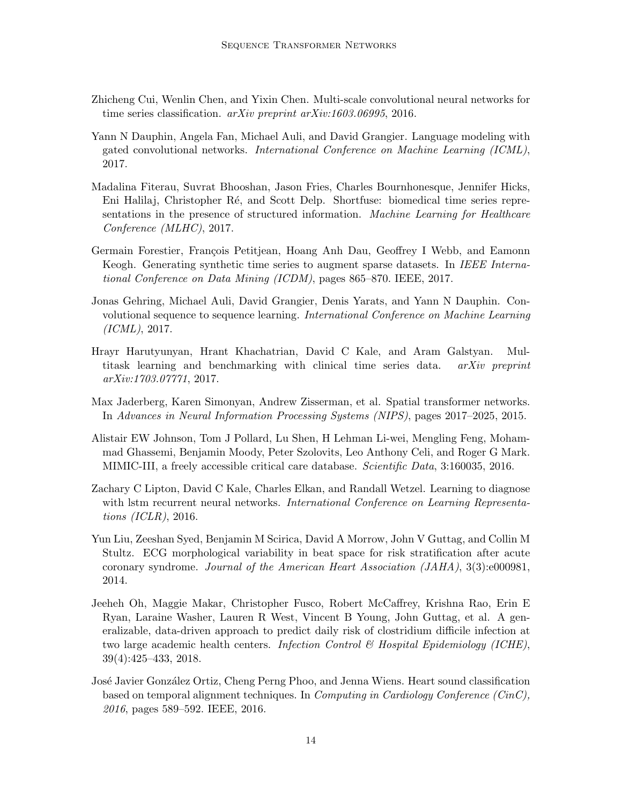- <span id="page-13-5"></span>Zhicheng Cui, Wenlin Chen, and Yixin Chen. Multi-scale convolutional neural networks for time series classification. arXiv preprint arXiv:1603.06995, 2016.
- <span id="page-13-7"></span>Yann N Dauphin, Angela Fan, Michael Auli, and David Grangier. Language modeling with gated convolutional networks. International Conference on Machine Learning (ICML), 2017.
- <span id="page-13-10"></span>Madalina Fiterau, Suvrat Bhooshan, Jason Fries, Charles Bournhonesque, Jennifer Hicks, Eni Halilaj, Christopher R´e, and Scott Delp. Shortfuse: biomedical time series representations in the presence of structured information. Machine Learning for Healthcare Conference (MLHC), 2017.
- <span id="page-13-8"></span>Germain Forestier, François Petitjean, Hoang Anh Dau, Geoffrey I Webb, and Eamonn Keogh. Generating synthetic time series to augment sparse datasets. In IEEE International Conference on Data Mining (ICDM), pages 865–870. IEEE, 2017.
- <span id="page-13-6"></span>Jonas Gehring, Michael Auli, David Grangier, Denis Yarats, and Yann N Dauphin. Convolutional sequence to sequence learning. International Conference on Machine Learning (ICML), 2017.
- <span id="page-13-4"></span>Hrayr Harutyunyan, Hrant Khachatrian, David C Kale, and Aram Galstyan. Multitask learning and benchmarking with clinical time series data. arXiv preprint arXiv:1703.07771, 2017.
- <span id="page-13-9"></span>Max Jaderberg, Karen Simonyan, Andrew Zisserman, et al. Spatial transformer networks. In Advances in Neural Information Processing Systems (NIPS), pages 2017–2025, 2015.
- <span id="page-13-11"></span>Alistair EW Johnson, Tom J Pollard, Lu Shen, H Lehman Li-wei, Mengling Feng, Mohammad Ghassemi, Benjamin Moody, Peter Szolovits, Leo Anthony Celi, and Roger G Mark. MIMIC-III, a freely accessible critical care database. Scientific Data, 3:160035, 2016.
- <span id="page-13-0"></span>Zachary C Lipton, David C Kale, Charles Elkan, and Randall Wetzel. Learning to diagnose with lstm recurrent neural networks. *International Conference on Learning Representa*tions (ICLR), 2016.
- <span id="page-13-2"></span>Yun Liu, Zeeshan Syed, Benjamin M Scirica, David A Morrow, John V Guttag, and Collin M Stultz. ECG morphological variability in beat space for risk stratification after acute coronary syndrome. Journal of the American Heart Association (JAHA), 3(3):e000981, 2014.
- <span id="page-13-1"></span>Jeeheh Oh, Maggie Makar, Christopher Fusco, Robert McCaffrey, Krishna Rao, Erin E Ryan, Laraine Washer, Lauren R West, Vincent B Young, John Guttag, et al. A generalizable, data-driven approach to predict daily risk of clostridium difficile infection at two large academic health centers. Infection Control  $\mathcal C$  Hospital Epidemiology (ICHE), 39(4):425–433, 2018.
- <span id="page-13-3"></span>José Javier González Ortiz, Cheng Perng Phoo, and Jenna Wiens. Heart sound classification based on temporal alignment techniques. In *Computing in Cardiology Conference (CinC)*, 2016, pages 589–592. IEEE, 2016.